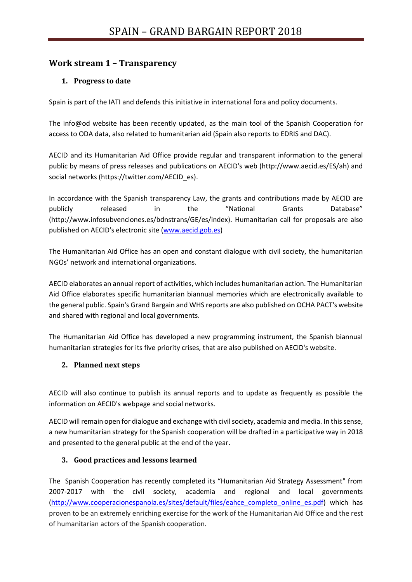# **Work stream 1 – Transparency**

### **1. Progress to date**

Spain is part of the IATI and defends this initiative in international fora and policy documents.

The info@od website has been recently updated, as the main tool of the Spanish Cooperation for access to ODA data, also related to humanitarian aid (Spain also reports to EDRIS and DAC).

AECID and its Humanitarian Aid Office provide regular and transparent information to the general public by means of press releases and publications on AECID's web (http://www.aecid.es/ES/ah) and social networks (https://twitter.com/AECID\_es).

In accordance with the Spanish transparency Law, the grants and contributions made by AECID are publicly released in the "National Grants Database" (http://www.infosubvenciones.es/bdnstrans/GE/es/index). Humanitarian call for proposals are also published on AECID's electronic site [\(www.aecid.gob.es\)](http://www.aecid.gob.es/)

The Humanitarian Aid Office has an open and constant dialogue with civil society, the humanitarian NGOs' network and international organizations.

AECID elaborates an annual report of activities, which includes humanitarian action. The Humanitarian Aid Office elaborates specific humanitarian biannual memories which are electronically available to the general public. Spain's Grand Bargain and WHS reports are also published on OCHA PACT's website and shared with regional and local governments.

The Humanitarian Aid Office has developed a new programming instrument, the Spanish biannual humanitarian strategies for its five priority crises, that are also published on AECID's website.

#### **2. Planned next steps**

AECID will also continue to publish its annual reports and to update as frequently as possible the information on AECID's webpage and social networks.

AECID will remain open for dialogue and exchange with civil society, academia and media. In this sense, a new humanitarian strategy for the Spanish cooperation will be drafted in a participative way in 2018 and presented to the general public at the end of the year.

### **3. Good practices and lessons learned**

The Spanish Cooperation has recently completed its "Humanitarian Aid Strategy Assessment" from 2007-2017 with the civil society, academia and regional and local governments [\(http://www.cooperacionespanola.es/sites/default/files/eahce\\_completo\\_online\\_es.pdf\)](http://www.cooperacionespanola.es/sites/default/files/eahce_completo_online_es.pdf) which has proven to be an extremely enriching exercise for the work of the Humanitarian Aid Office and the rest of humanitarian actors of the Spanish cooperation.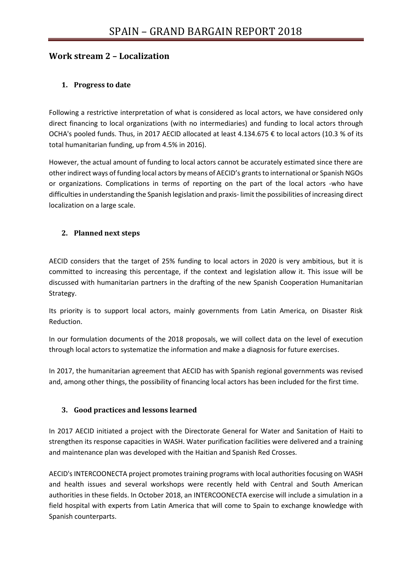## **Work stream 2 – Localization**

## **1. Progress to date**

Following a restrictive interpretation of what is considered as local actors, we have considered only direct financing to local organizations (with no intermediaries) and funding to local actors through OCHA's pooled funds. Thus, in 2017 AECID allocated at least 4.134.675 € to local actors (10.3 % of its total humanitarian funding, up from 4.5% in 2016).

However, the actual amount of funding to local actors cannot be accurately estimated since there are other indirect ways of funding local actors by means of AECID's grants to international or Spanish NGOs or organizations. Complications in terms of reporting on the part of the local actors -who have difficulties in understanding the Spanish legislation and praxis- limit the possibilities of increasing direct localization on a large scale.

### **2. Planned next steps**

AECID considers that the target of 25% funding to local actors in 2020 is very ambitious, but it is committed to increasing this percentage, if the context and legislation allow it. This issue will be discussed with humanitarian partners in the drafting of the new Spanish Cooperation Humanitarian Strategy.

Its priority is to support local actors, mainly governments from Latin America, on Disaster Risk Reduction.

In our formulation documents of the 2018 proposals, we will collect data on the level of execution through local actors to systematize the information and make a diagnosis for future exercises.

In 2017, the humanitarian agreement that AECID has with Spanish regional governments was revised and, among other things, the possibility of financing local actors has been included for the first time.

### **3. Good practices and lessons learned**

In 2017 AECID initiated a project with the Directorate General for Water and Sanitation of Haiti to strengthen its response capacities in WASH. Water purification facilities were delivered and a training and maintenance plan was developed with the Haitian and Spanish Red Crosses.

AECID's INTERCOONECTA project promotes training programs with local authorities focusing on WASH and health issues and several workshops were recently held with Central and South American authorities in these fields. In October 2018, an INTERCOONECTA exercise will include a simulation in a field hospital with experts from Latin America that will come to Spain to exchange knowledge with Spanish counterparts.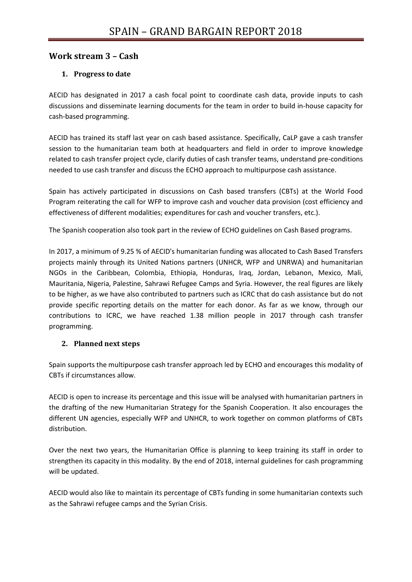## **Work stream 3 – Cash**

### **1. Progress to date**

AECID has designated in 2017 a cash focal point to coordinate cash data, provide inputs to cash discussions and disseminate learning documents for the team in order to build in-house capacity for cash-based programming.

AECID has trained its staff last year on cash based assistance. Specifically, CaLP gave a cash transfer session to the humanitarian team both at headquarters and field in order to improve knowledge related to cash transfer project cycle, clarify duties of cash transfer teams, understand pre-conditions needed to use cash transfer and discuss the ECHO approach to multipurpose cash assistance.

Spain has actively participated in discussions on Cash based transfers (CBTs) at the World Food Program reiterating the call for WFP to improve cash and voucher data provision (cost efficiency and effectiveness of different modalities; expenditures for cash and voucher transfers, etc.).

The Spanish cooperation also took part in the review of ECHO guidelines on Cash Based programs.

In 2017, a minimum of 9.25 % of AECID's humanitarian funding was allocated to Cash Based Transfers projects mainly through its United Nations partners (UNHCR, WFP and UNRWA) and humanitarian NGOs in the Caribbean, Colombia, Ethiopia, Honduras, Iraq, Jordan, Lebanon, Mexico, Mali, Mauritania, Nigeria, Palestine, Sahrawi Refugee Camps and Syria. However, the real figures are likely to be higher, as we have also contributed to partners such as ICRC that do cash assistance but do not provide specific reporting details on the matter for each donor. As far as we know, through our contributions to ICRC, we have reached 1.38 million people in 2017 through cash transfer programming.

### **2. Planned next steps**

Spain supports the multipurpose cash transfer approach led by ECHO and encourages this modality of CBTs if circumstances allow.

AECID is open to increase its percentage and this issue will be analysed with humanitarian partners in the drafting of the new Humanitarian Strategy for the Spanish Cooperation. It also encourages the different UN agencies, especially WFP and UNHCR, to work together on common platforms of CBTs distribution.

Over the next two years, the Humanitarian Office is planning to keep training its staff in order to strengthen its capacity in this modality. By the end of 2018, internal guidelines for cash programming will be updated.

AECID would also like to maintain its percentage of CBTs funding in some humanitarian contexts such as the Sahrawi refugee camps and the Syrian Crisis.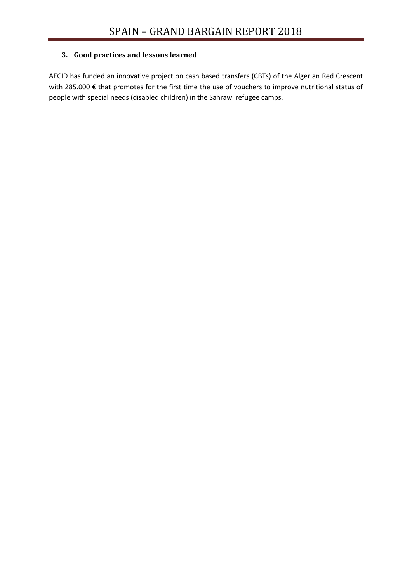### **3. Good practices and lessons learned**

AECID has funded an innovative project on cash based transfers (CBTs) of the Algerian Red Crescent with 285.000 € that promotes for the first time the use of vouchers to improve nutritional status of people with special needs (disabled children) in the Sahrawi refugee camps.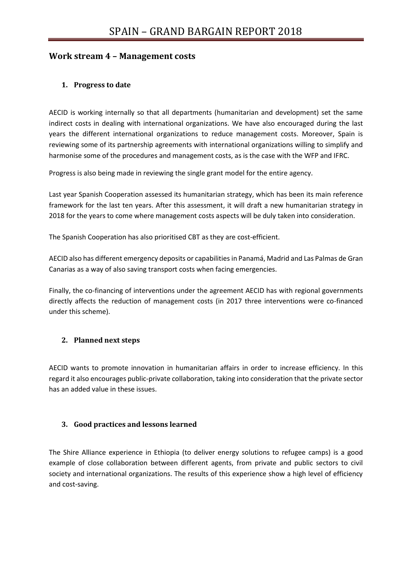## **Work stream 4 – Management costs**

### **1. Progress to date**

AECID is working internally so that all departments (humanitarian and development) set the same indirect costs in dealing with international organizations. We have also encouraged during the last years the different international organizations to reduce management costs. Moreover, Spain is reviewing some of its partnership agreements with international organizations willing to simplify and harmonise some of the procedures and management costs, as is the case with the WFP and IFRC.

Progress is also being made in reviewing the single grant model for the entire agency.

Last year Spanish Cooperation assessed its humanitarian strategy, which has been its main reference framework for the last ten years. After this assessment, it will draft a new humanitarian strategy in 2018 for the years to come where management costs aspects will be duly taken into consideration.

The Spanish Cooperation has also prioritised CBT as they are cost-efficient.

AECID also has different emergency deposits or capabilities in Panamá, Madrid and Las Palmas de Gran Canarias as a way of also saving transport costs when facing emergencies.

Finally, the co-financing of interventions under the agreement AECID has with regional governments directly affects the reduction of management costs (in 2017 three interventions were co-financed under this scheme).

### **2. Planned next steps**

AECID wants to promote innovation in humanitarian affairs in order to increase efficiency. In this regard it also encourages public-private collaboration, taking into consideration that the private sector has an added value in these issues.

### **3. Good practices and lessons learned**

The Shire Alliance experience in Ethiopia (to deliver energy solutions to refugee camps) is a good example of close collaboration between different agents, from private and public sectors to civil society and international organizations. The results of this experience show a high level of efficiency and cost-saving.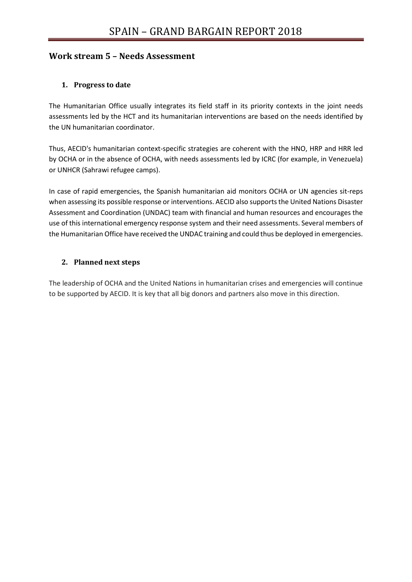## **Work stream 5 – Needs Assessment**

### **1. Progress to date**

The Humanitarian Office usually integrates its field staff in its priority contexts in the joint needs assessments led by the HCT and its humanitarian interventions are based on the needs identified by the UN humanitarian coordinator.

Thus, AECID's humanitarian context-specific strategies are coherent with the HNO, HRP and HRR led by OCHA or in the absence of OCHA, with needs assessments led by ICRC (for example, in Venezuela) or UNHCR (Sahrawi refugee camps).

In case of rapid emergencies, the Spanish humanitarian aid monitors OCHA or UN agencies sit-reps when assessing its possible response or interventions. AECID also supports the United Nations Disaster Assessment and Coordination (UNDAC) team with financial and human resources and encourages the use of this international emergency response system and their need assessments. Several members of the Humanitarian Office have received the UNDAC training and could thus be deployed in emergencies.

#### **2. Planned next steps**

The leadership of OCHA and the United Nations in humanitarian crises and emergencies will continue to be supported by AECID. It is key that all big donors and partners also move in this direction.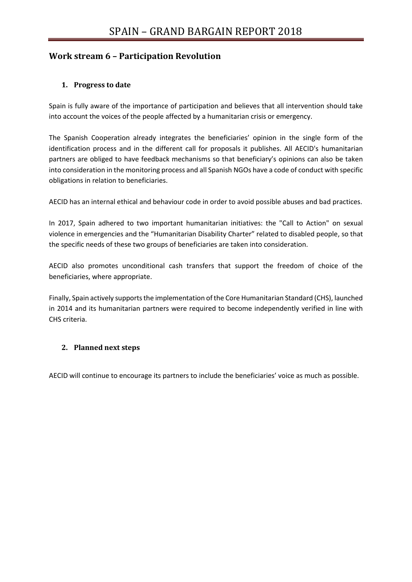# **Work stream 6 – Participation Revolution**

## **1. Progress to date**

Spain is fully aware of the importance of participation and believes that all intervention should take into account the voices of the people affected by a humanitarian crisis or emergency.

The Spanish Cooperation already integrates the beneficiaries' opinion in the single form of the identification process and in the different call for proposals it publishes. All AECID's humanitarian partners are obliged to have feedback mechanisms so that beneficiary's opinions can also be taken into consideration in the monitoring process and all Spanish NGOs have a code of conduct with specific obligations in relation to beneficiaries.

AECID has an internal ethical and behaviour code in order to avoid possible abuses and bad practices.

In 2017, Spain adhered to two important humanitarian initiatives: the "Call to Action" on sexual violence in emergencies and the "Humanitarian Disability Charter" related to disabled people, so that the specific needs of these two groups of beneficiaries are taken into consideration.

AECID also promotes unconditional cash transfers that support the freedom of choice of the beneficiaries, where appropriate.

Finally, Spain actively supports the implementation of the Core Humanitarian Standard (CHS), launched in 2014 and its humanitarian partners were required to become independently verified in line with CHS criteria.

### **2. Planned next steps**

AECID will continue to encourage its partners to include the beneficiaries' voice as much as possible.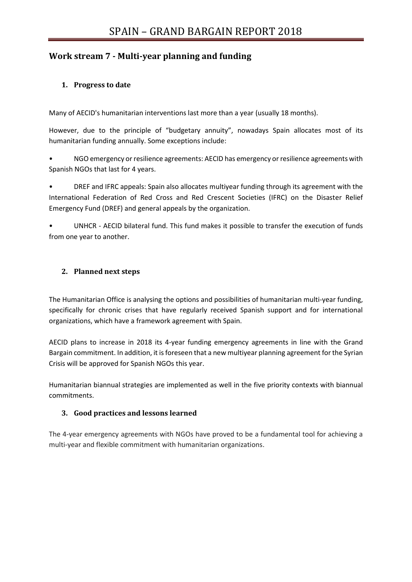# **Work stream 7 - Multi-year planning and funding**

## **1. Progress to date**

Many of AECID's humanitarian interventions last more than a year (usually 18 months).

However, due to the principle of "budgetary annuity", nowadays Spain allocates most of its humanitarian funding annually. Some exceptions include:

• NGO emergency or resilience agreements: AECID has emergency or resilience agreements with Spanish NGOs that last for 4 years.

• DREF and IFRC appeals: Spain also allocates multiyear funding through its agreement with the International Federation of Red Cross and Red Crescent Societies (IFRC) on the Disaster Relief Emergency Fund (DREF) and general appeals by the organization.

• UNHCR - AECID bilateral fund. This fund makes it possible to transfer the execution of funds from one year to another.

## **2. Planned next steps**

The Humanitarian Office is analysing the options and possibilities of humanitarian multi-year funding, specifically for chronic crises that have regularly received Spanish support and for international organizations, which have a framework agreement with Spain.

AECID plans to increase in 2018 its 4-year funding emergency agreements in line with the Grand Bargain commitment. In addition, it is foreseen that a new multiyear planning agreement for the Syrian Crisis will be approved for Spanish NGOs this year.

Humanitarian biannual strategies are implemented as well in the five priority contexts with biannual commitments.

## **3. Good practices and lessons learned**

The 4-year emergency agreements with NGOs have proved to be a fundamental tool for achieving a multi-year and flexible commitment with humanitarian organizations.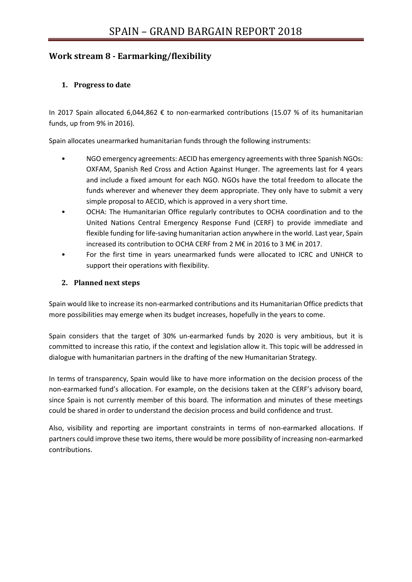# **Work stream 8 - Earmarking/flexibility**

### **1. Progress to date**

In 2017 Spain allocated 6,044,862 € to non-earmarked contributions (15.07 % of its humanitarian funds, up from 9% in 2016).

Spain allocates unearmarked humanitarian funds through the following instruments:

- NGO emergency agreements: AECID has emergency agreements with three Spanish NGOs: OXFAM, Spanish Red Cross and Action Against Hunger. The agreements last for 4 years and include a fixed amount for each NGO. NGOs have the total freedom to allocate the funds wherever and whenever they deem appropriate. They only have to submit a very simple proposal to AECID, which is approved in a very short time.
- OCHA: The Humanitarian Office regularly contributes to OCHA coordination and to the United Nations Central Emergency Response Fund (CERF) to provide immediate and flexible funding for life-saving humanitarian action anywhere in the world. Last year, Spain increased its contribution to OCHA CERF from 2 M€ in 2016 to 3 M€ in 2017.
- For the first time in years unearmarked funds were allocated to ICRC and UNHCR to support their operations with flexibility.

### **2. Planned next steps**

Spain would like to increase its non-earmarked contributions and its Humanitarian Office predicts that more possibilities may emerge when its budget increases, hopefully in the years to come.

Spain considers that the target of 30% un-earmarked funds by 2020 is very ambitious, but it is committed to increase this ratio, if the context and legislation allow it. This topic will be addressed in dialogue with humanitarian partners in the drafting of the new Humanitarian Strategy.

In terms of transparency, Spain would like to have more information on the decision process of the non-earmarked fund's allocation. For example, on the decisions taken at the CERF's advisory board, since Spain is not currently member of this board. The information and minutes of these meetings could be shared in order to understand the decision process and build confidence and trust.

Also, visibility and reporting are important constraints in terms of non-earmarked allocations. If partners could improve these two items, there would be more possibility of increasing non-earmarked contributions.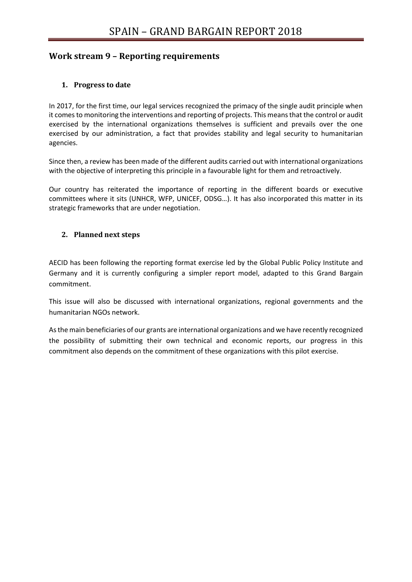## **Work stream 9 – Reporting requirements**

### **1. Progress to date**

In 2017, for the first time, our legal services recognized the primacy of the single audit principle when it comes to monitoring the interventions and reporting of projects. This means that the control or audit exercised by the international organizations themselves is sufficient and prevails over the one exercised by our administration, a fact that provides stability and legal security to humanitarian agencies.

Since then, a review has been made of the different audits carried out with international organizations with the objective of interpreting this principle in a favourable light for them and retroactively.

Our country has reiterated the importance of reporting in the different boards or executive committees where it sits (UNHCR, WFP, UNICEF, ODSG…). It has also incorporated this matter in its strategic frameworks that are under negotiation.

#### **2. Planned next steps**

AECID has been following the reporting format exercise led by the Global Public Policy Institute and Germany and it is currently configuring a simpler report model, adapted to this Grand Bargain commitment.

This issue will also be discussed with international organizations, regional governments and the humanitarian NGOs network.

As the main beneficiaries of our grants are international organizations and we have recently recognized the possibility of submitting their own technical and economic reports, our progress in this commitment also depends on the commitment of these organizations with this pilot exercise.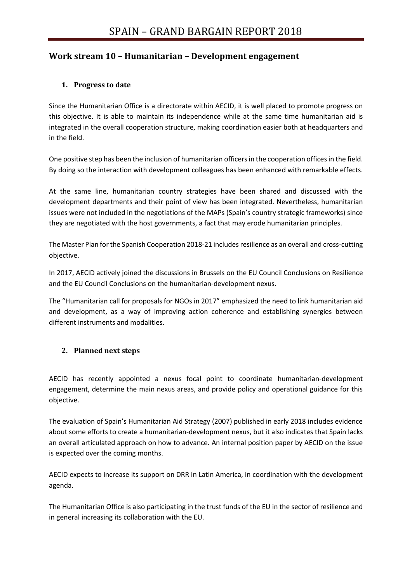# **Work stream 10 – Humanitarian – Development engagement**

## **1. Progress to date**

Since the Humanitarian Office is a directorate within AECID, it is well placed to promote progress on this objective. It is able to maintain its independence while at the same time humanitarian aid is integrated in the overall cooperation structure, making coordination easier both at headquarters and in the field.

One positive step has been the inclusion of humanitarian officers in the cooperation offices in the field. By doing so the interaction with development colleagues has been enhanced with remarkable effects.

At the same line, humanitarian country strategies have been shared and discussed with the development departments and their point of view has been integrated. Nevertheless, humanitarian issues were not included in the negotiations of the MAPs (Spain's country strategic frameworks) since they are negotiated with the host governments, a fact that may erode humanitarian principles.

The Master Plan for the Spanish Cooperation 2018-21 includes resilience as an overall and cross-cutting objective.

In 2017, AECID actively joined the discussions in Brussels on the EU Council Conclusions on Resilience and the EU Council Conclusions on the humanitarian-development nexus.

The "Humanitarian call for proposals for NGOs in 2017" emphasized the need to link humanitarian aid and development, as a way of improving action coherence and establishing synergies between different instruments and modalities.

### **2. Planned next steps**

AECID has recently appointed a nexus focal point to coordinate humanitarian-development engagement, determine the main nexus areas, and provide policy and operational guidance for this objective.

The evaluation of Spain's Humanitarian Aid Strategy (2007) published in early 2018 includes evidence about some efforts to create a humanitarian-development nexus, but it also indicates that Spain lacks an overall articulated approach on how to advance. An internal position paper by AECID on the issue is expected over the coming months.

AECID expects to increase its support on DRR in Latin America, in coordination with the development agenda.

The Humanitarian Office is also participating in the trust funds of the EU in the sector of resilience and in general increasing its collaboration with the EU.